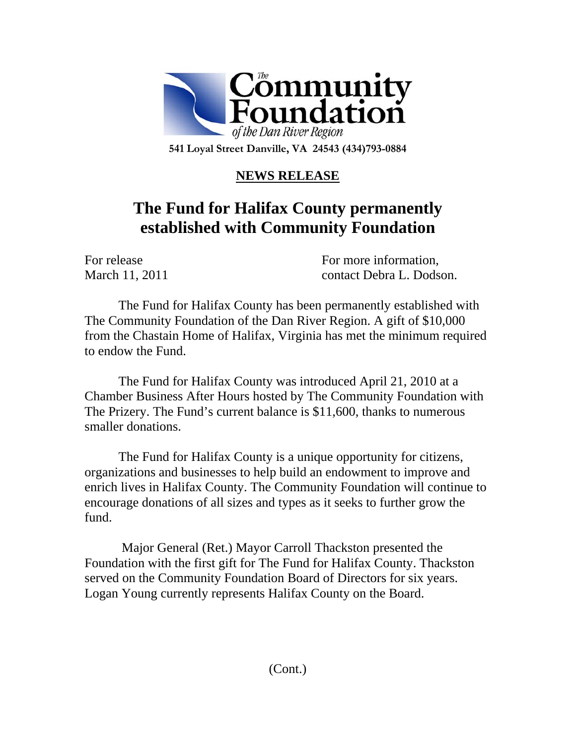

**541 Loyal Street Danville, VA 24543 (434)793-0884** 

## **NEWS RELEASE**

## **The Fund for Halifax County permanently established with Community Foundation**

For release For more information. March 11, 2011 contact Debra L. Dodson.

The Fund for Halifax County has been permanently established with The Community Foundation of the Dan River Region. A gift of \$10,000 from the Chastain Home of Halifax, Virginia has met the minimum required to endow the Fund.

The Fund for Halifax County was introduced April 21, 2010 at a Chamber Business After Hours hosted by The Community Foundation with The Prizery. The Fund's current balance is \$11,600, thanks to numerous smaller donations.

 The Fund for Halifax County is a unique opportunity for citizens, organizations and businesses to help build an endowment to improve and enrich lives in Halifax County. The Community Foundation will continue to encourage donations of all sizes and types as it seeks to further grow the fund.

 Major General (Ret.) Mayor Carroll Thackston presented the Foundation with the first gift for The Fund for Halifax County. Thackston served on the Community Foundation Board of Directors for six years. Logan Young currently represents Halifax County on the Board.